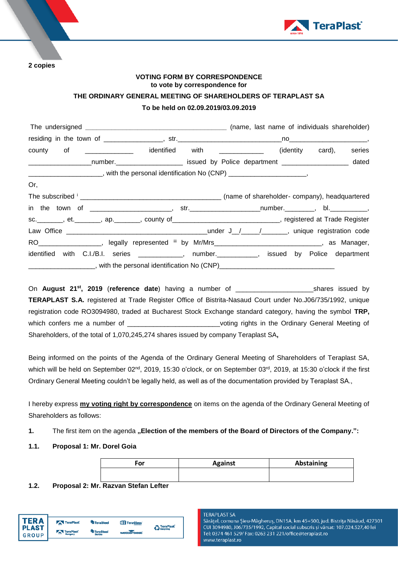

**2 copies**

## **VOTING FORM BY CORRESPONDENCE to vote by correspondence for**

## **THE ORDINARY GENERAL MEETING OF SHAREHOLDERS OF TERAPLAST SA**

# **To be held on 02.09.2019/03.09.2019**

| county of ____________ identified with ___________ (identity card),                                         |  |  | series |
|-------------------------------------------------------------------------------------------------------------|--|--|--------|
| ____________________number._________________________ issued by Police department ____________________ dated |  |  |        |
| _________________________, with the personal identification No (CNP) _______________________,               |  |  |        |
| Or,                                                                                                         |  |  |        |
|                                                                                                             |  |  |        |
|                                                                                                             |  |  |        |
| sc. _______, et. _______, ap. ______, county of ____________________________, registered at Trade Register  |  |  |        |
|                                                                                                             |  |  |        |
| RO __________________, legally represented iii by Mr/Mrs _______________________________, as Manager,       |  |  |        |
| identified with C.I./B.I. series _____________, number.___________, issued by Police department             |  |  |        |
|                                                                                                             |  |  |        |

On **August 21st, 2019** (**reference date**) having a number of \_\_\_\_\_\_\_\_\_\_\_\_\_\_\_\_\_\_\_\_\_shares issued by **TERAPLAST S.A.** registered at Trade Register Office of Bistrita-Nasaud Court under No.J06/735/1992, unique registration code RO3094980, traded at Bucharest Stock Exchange standard category, having the symbol **TRP,** which confers me a number of \_\_\_\_\_\_\_\_\_\_\_\_\_\_\_\_\_\_\_\_\_\_\_\_\_\_\_voting rights in the Ordinary General Meeting of Shareholders, of the total of 1,070,245,274 shares issued by company Teraplast SA**,**

Being informed on the points of the Agenda of the Ordinary General Meeting of Shareholders of Teraplast SA, which will be held on September 02<sup>nd</sup>, 2019, 15:30 o'clock, or on September 03<sup>rd</sup>, 2019, at 15:30 o'clock if the first Ordinary General Meeting couldn't be legally held, as well as of the documentation provided by Teraplast SA.,

I hereby express **my voting right by correspondence** on items on the agenda of the Ordinary General Meeting of Shareholders as follows:

1. The first item on the agenda "Election of the members of the Board of Directors of the Company.":

# **1.1. Proposal 1: Mr. Dorel Goia**

| For | <b>Against</b> | <b>Abstaining</b> |
|-----|----------------|-------------------|
|     |                |                   |

**1.2. Proposal 2: Mr. Razvan Stefan Lefter**

| TER A                   | TeraPlast            | <sup>4</sup> TeraSteel     | TeraGlass' | <b>P</b> TeraPlast |
|-------------------------|----------------------|----------------------------|------------|--------------------|
| I PLAST<br><b>GROUP</b> | TeraPlast<br>Hungary | <b>TeraSteel</b><br>Serbia | wetterbest | <b>Recycling</b>   |

#### **TERAPLAST SA**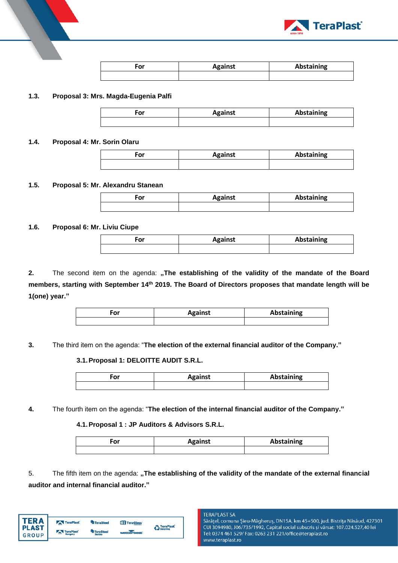

| ∙or | <b>Against</b> | Abstaining |
|-----|----------------|------------|
|     |                |            |

#### **1.3. Proposal 3: Mrs. Magda-Eugenia Palfi**

| ۰or | <b>Against</b> | <b>Abstaining</b> |
|-----|----------------|-------------------|
|     |                |                   |

#### **1.4. Proposal 4: Mr. Sorin Olaru**

| ۰or | <b>Against</b> | Abstaining |
|-----|----------------|------------|
|     |                |            |

#### **1.5. Proposal 5: Mr. Alexandru Stanean**

| ∙or | <b>Against</b> | Abstaining |
|-----|----------------|------------|
|     |                |            |

#### **1.6. Proposal 6: Mr. Liviu Ciupe**

| ∙or | <b>Against</b> | <b>Abstaining</b> |
|-----|----------------|-------------------|
|     |                |                   |

2. The second item on the agenda: "The establishing of the validity of the mandate of the Board **members, starting with September 14th 2019. The Board of Directors proposes that mandate length will be 1(one) year."**

| or | <b>Against</b> | Abstaining |
|----|----------------|------------|
|    |                |            |

**3.** The third item on the agenda: "**The election of the external financial auditor of the Company."**

#### **3.1.Proposal 1: DELOITTE AUDIT S.R.L.**

| $-01$<br>יטי | <b>Against</b> | Abstaining |
|--------------|----------------|------------|
|              |                |            |

**4.** The fourth item on the agenda: "**The election of the internal financial auditor of the Company."**

## **4.1.Proposal 1 : JP Auditors & Advisors S.R.L.**

| or | <b>Against</b> | <b>Abstaining</b> |
|----|----------------|-------------------|
|    |                |                   |

5. The fifth item on the agenda: "The establishing of the validity of the mandate of the external financial **auditor and internal financial auditor."**

| FR A                         | TeraPlast                         | <sup>4</sup> TeraSteel     | <b>TIT</b> TeraGlass' | <b>A</b> TeraPlast |
|------------------------------|-----------------------------------|----------------------------|-----------------------|--------------------|
| <b>PLAST</b><br><b>GROUP</b> | TeraPlast <sup>®</sup><br>Hungary | <b>TeraSteel</b><br>Serbia | wetterbest            | <b>Recycling</b>   |
|                              |                                   |                            |                       |                    |

#### **TERAPLAST SA**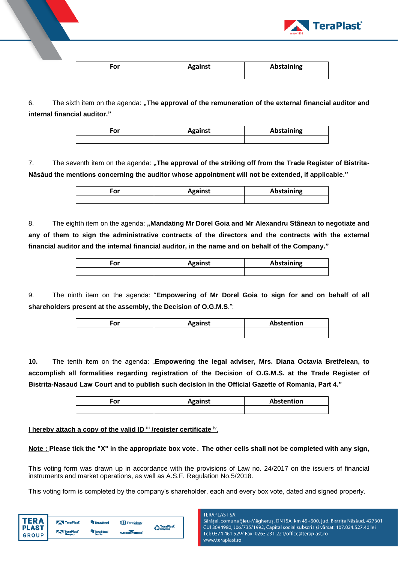

| For | <b>Against</b> | Abstaining |
|-----|----------------|------------|
|     |                |            |

6. The sixth item on the agenda: "The approval of the remuneration of the external financial auditor and **internal financial auditor."**

| ∙or | <b>Against</b> | <b>Abstaining</b> |
|-----|----------------|-------------------|
|     |                |                   |

7. The seventh item on the agenda: "The approval of the striking off from the Trade Register of Bistrita-**Năsăud the mentions concerning the auditor whose appointment will not be extended, if applicable."**

| ~" | <b>Against</b> | <b>Abstaining</b> |
|----|----------------|-------------------|
|    |                |                   |

8. The eighth item on the agenda: "Mandating Mr Dorel Goia and Mr Alexandru Stânean to negotiate and **any of them to sign the administrative contracts of the directors and the contracts with the external financial auditor and the internal financial auditor, in the name and on behalf of the Company."**

| ∙or | <b>Against</b> | <b>Abstaining</b> |
|-----|----------------|-------------------|
|     |                |                   |

9. The ninth item on the agenda: "**Empowering of Mr Dorel Goia to sign for and on behalf of all shareholders present at the assembly, the Decision of O.G.M.S**.":

| Ξor | <b>Against</b> | Abstention |  |  |
|-----|----------------|------------|--|--|
|     |                |            |  |  |

**10.** The tenth item on the agenda: "**Empowering the legal adviser, Mrs. Diana Octavia Bretfelean, to accomplish all formalities regarding registration of the Decision of O.G.M.S. at the Trade Register of Bistrita-Nasaud Law Court and to publish such decision in the Official Gazette of Romania, Part 4."**

| ∂or | <b>Against</b> | Abstention |  |  |
|-----|----------------|------------|--|--|
|     |                |            |  |  |

## **I hereby attach a copy of the valid ID iii /register certificate iv.**

## **Note : Please tick the "X" in the appropriate box vote**. **The other cells shall not be completed with any sign,**

This voting form was drawn up in accordance with the provisions of Law no. 24/2017 on the issuers of financial instruments and market operations, as well as A.S.F. Regulation No.5/2018.

This voting form is completed by the company's shareholder, each and every box vote, dated and signed properly.

| <b>Recycling</b> | <b>P</b> TeraPlast |
|------------------|--------------------|

**TERAPI AST SA**